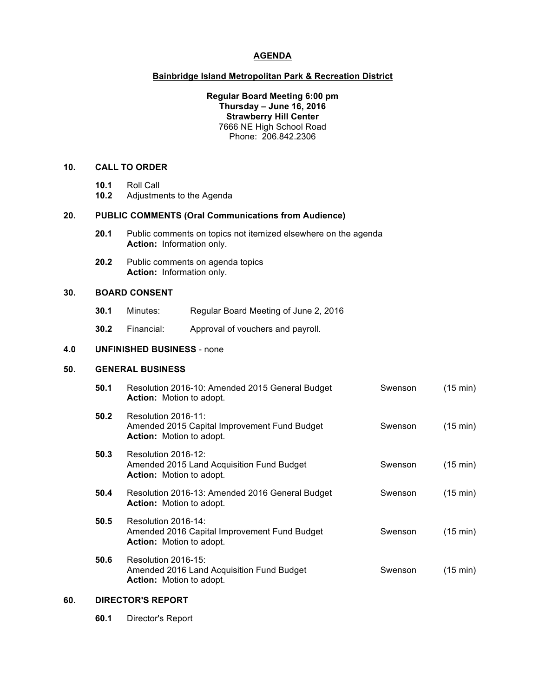# **AGENDA**

#### **Bainbridge Island Metropolitan Park & Recreation District**

#### **Regular Board Meeting 6:00 pm Thursday – June 16, 2016 Strawberry Hill Center** 7666 NE High School Road Phone: 206.842.2306

# **10. CALL TO ORDER**

- **10.1** Roll Call
- **10.2** Adjustments to the Agenda

## **20. PUBLIC COMMENTS (Oral Communications from Audience)**

- **20.1** Public comments on topics not itemized elsewhere on the agenda **Action:** Information only.
- **20.2** Public comments on agenda topics **Action:** Information only.

### **30. BOARD CONSENT**

- **30.1** Minutes: Regular Board Meeting of June 2, 2016
- **30.2** Financial: Approval of vouchers and payroll.

# **4.0 UNFINISHED BUSINESS** - none

#### **50. GENERAL BUSINESS**

| 50.1 | Resolution 2016-10: Amended 2015 General Budget<br><b>Action:</b> Motion to adopt.                     | Swenson | $(15 \text{ min})$ |
|------|--------------------------------------------------------------------------------------------------------|---------|--------------------|
| 50.2 | Resolution 2016-11:<br>Amended 2015 Capital Improvement Fund Budget<br><b>Action:</b> Motion to adopt. | Swenson | $(15 \text{ min})$ |
| 50.3 | Resolution 2016-12:<br>Amended 2015 Land Acquisition Fund Budget<br><b>Action:</b> Motion to adopt.    | Swenson | $(15 \text{ min})$ |
| 50.4 | Resolution 2016-13: Amended 2016 General Budget<br><b>Action:</b> Motion to adopt.                     | Swenson | $(15 \text{ min})$ |
| 50.5 | Resolution 2016-14:<br>Amended 2016 Capital Improvement Fund Budget<br><b>Action:</b> Motion to adopt. | Swenson | $(15 \text{ min})$ |
| 50.6 | Resolution 2016-15:<br>Amended 2016 Land Acquisition Fund Budget<br><b>Action:</b> Motion to adopt.    | Swenson | $(15 \text{ min})$ |

# **60. DIRECTOR'S REPORT**

**60.1** Director's Report